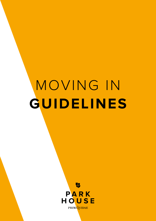## MOVING IN **GUIDELINES**

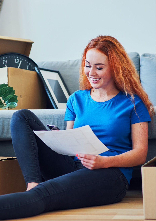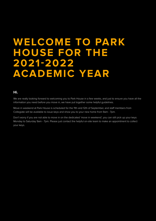## **WELCOME TO PARK HOUSE FOR THE 2021-2022 ACADEMIC YEAR**

#### **Hi.**

We are really looking forward to welcoming you to Park House in a few weeks, and just to ensure you have all the information you need before you move in, we have put together some helpful guidelines.

Move in weekend at Park House is scheduled for the 11th and 12th of September, and staff members from Collegiate will be available to issue keys and show you to your new home from 9am - 7pm.

Don't worry if you are not able to move in on the dedicated 'move in weekend', you can still pick up your keys Monday to Saturday 9am - 7pm. Please just contact the helpful on-site team to make an appointment to collect your keys.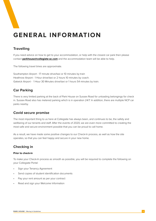### **GENERAL INFORMATION**

#### **Travelling**

If you need advice on how to get to your accommodation, or help with the closest car park then please contact **parkhous[e@collegiate-ac.com](http://)** and the accommodation team will be able to help.

The following travel times are approximate.

Southampton Airport - 17 minute drive/taxi or 10 minutes by train Heathrow Airport - 1 Hour drive/taxi or 2 hours 10 minutes by coach. Gatwick Airport - 1 Hour 30 Minutes drive/taxi or 1 hours 54 minutes by train.

#### **Car Parking**

There is very limited parking at the back of Park House on Sussex Road for unloading belongings for check in. Sussex Road also has metered parking which is in operation 24/7. In addition, there are multiple NCP car parks nearby.

#### **Covid secure promise**

The most important thing to us here at Collegiate has always been, and continues to be, the safety and wellbeing of our tenants and staff. After the events of 2020, we are even more committed to creating the most safe and secure environment possible that you can be proud to call home.

As a result, we have made some positive changes to our Check-In process, as well as how the site operates, so that you can feel happy and secure in your new home.

#### **Checking in**

#### **Prior to check-in**

To make your Check-In process as smooth as possible, you will be required to complete the following on your Collegiate Portal:

- Sign your Tenancy Agreement
- Send copies of student identification documents
- Pay your rent amount as per your contract
- Read and sign your Welcome Information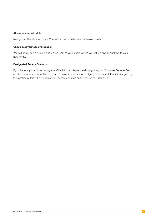#### **Allocated check-in slots**

Next you will be able to book a Check-In slot on a first-come first-served basis.

#### **Check-in at your accommodation**

You will be guided by your friendly sites team to your studio where you will be given your keys to your new home.

#### **Designated Service Stations**

If you have any questions during your Check-In day please head straight to your Customer Services Desk on site where our team will be on hand to answer any questions. Signage and more information regarding the location of this will be given at your accommodation on the day of your Check-In.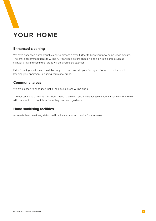# **YOUR HOME**

#### **Enhanced cleaning**

We have enhanced our thorough cleaning protocols even further to keep your new home Covid Secure. The entire accommodation site will be fully sanitised before check-in and high traffic areas such as stairwells, lifts and communal areas will be given extra attention.

Extra Cleaning services are available for you to purchase via your Collegiate Portal to assist you with keeping your apartment, including communal areas.

#### **Communal areas**

We are pleased to announce that all communal areas will be open!

The necessary adjustments have been made to allow for social distancing with your safety in mind and we will continue to monitor this in line with government guidance.

#### **Hand sanitising facilities**

Automatic hand sanitising stations will be located around the site for you to use.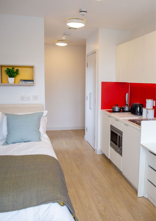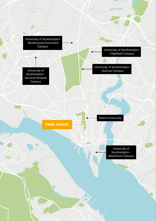

University of Southampton - Highfield Campus

University of Southampton - General Hospital **Campus** 

 $\approx$ 

University of Southampton - Avenue Campus

**PARK HOUSE**

Solent University

University of Southampton - Waterfront Campus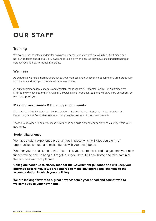

#### **Training**

We exceed the industry standard for training; our accommodation staff are all fully ANUK trained and have undertaken specific Covid-19 awareness training which ensures they have a full understanding of coronavirus and how to reduce its spread.

#### **Wellness**

At Collegiate we take a holistic approach to your wellness and our accommodation teams are here to fully support you and help you to settle into your new home.

All our Accommodation Managers and Assistant Mangers are fully Mental Health First Aid trained by MHFAE and we have strong links with all Universities in all our cities, so there will always be somebody on hand to support you.

#### **Making new friends & building a community**

We have lots of exciting events planned for your arrival weeks and throughout the academic year. Depending on the Covid alertness level these may be delivered in person or virtually.

These are designed to help you make new friends and build a friendly supportive community within your new home.

#### **Student Experience**

We have student experience programmes in place which will give you plenty of opportunities to meet and make friends with your neighbours.

Whether you're in a studio or in a shared flat, you can rest assured that you and your new friends will be able to hang out together in your beautiful new home and take part in all the activities we have planned.

**Collegiate continue to closely monitor the Government guidance and will keep you informed accordingly if we are required to make any operational changes to the accommodation in which you are living.** 

**We are looking forward to a great new academic year ahead and cannot wait to welcome you to your new home.**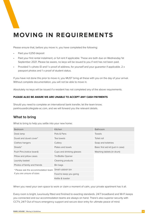## **MOVING IN REQUIREMENTS**

Please ensure that, before you move in, you have completed the following:

- Paid your £250 deposit
- Paid your first rental instalment, or full rent if applicable. These are both due on Wednesday 1st September 2021. Please be aware, no keys will be issued to you if rent has not been paid.
- Provided 1 x photo ID and 1 x proof of address, for yourself and your guarantor if applicable. 2 x passport photos and 1 x proof of student status.

If you have not done this prior to move in, you MUST bring all these with you on the day of your arrival. Without complete documentation, you will not be able to move in.

Absolutely no keys will be issued if a resident has not completed any of the above requirements.

#### **PLEASE ALSO BE AWARE WE ARE UNABLE TO ACCEPT ANY CASH PAYMENTS**

Should you need to complete an international bank transfer, let the team know; parkhouse@collegiate-ac.com, and we will forward you the relevant details.

#### **What to bring**

| Bedroom                                                           | Kitchen                   | Bathroom                           |
|-------------------------------------------------------------------|---------------------------|------------------------------------|
| Desk lamp                                                         | Pots & Pans               | <b>Towels</b>                      |
| Duvet and duvet cover*                                            | Tea towels                | Toilet roll                        |
| Clothes hangers                                                   | Cutlery                   | Soap and toiletries                |
| Sheets*                                                           | Plates and bowls          | Basic first aid kit (just in case) |
| Push Pins (notice board)                                          | Cups and drinking glasses | Washing tablets (in drum)          |
| Pillow and pillow cases                                           | Tin/Bottle Opener         |                                    |
| Laundry basket                                                    | Cleaning products         |                                    |
| Photos of family and friends                                      | Bin bags                  |                                    |
| * Please ask the accommodation team<br>if you are unsure of sizes | Small rubbish bin         |                                    |
|                                                                   | Food to keep you going    |                                    |
|                                                                   | Kettle & toaster          |                                    |

What to bring to help you settle into your new home:

When you need your own space to work or claim a moment of calm, your private apartment has it all.

Every room is bright, luxuriously fitted and finished to exacting standards. 24/7 broadband and Wi-Fi keeps you connected and our accommodation teams are always on hand. There's also superior security with CCTV, 24/7 Out of hours emergency support and secure door entry for ultimate peace of mind.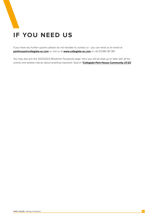# **IF YOU NEED US**

If you have any further queries please do not hesitate to contact us - you can send us an email at **[parkhouse@collegiate-ac.com](http://parkhouse@collegiate-ac.com)** or visit us at **[www.collegiate-ac.com](http://www.collegiate-ac.com)** or call 02380 181 381.

You may also join the 2021/2022 Residents Facebook page, here you will be kept up to date with all the events and weekly notices about anything important. Search **'[Collegiate Park House Community 21/22](https://www.facebook.com/groups/540329407086726/)'**.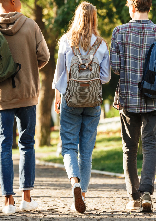